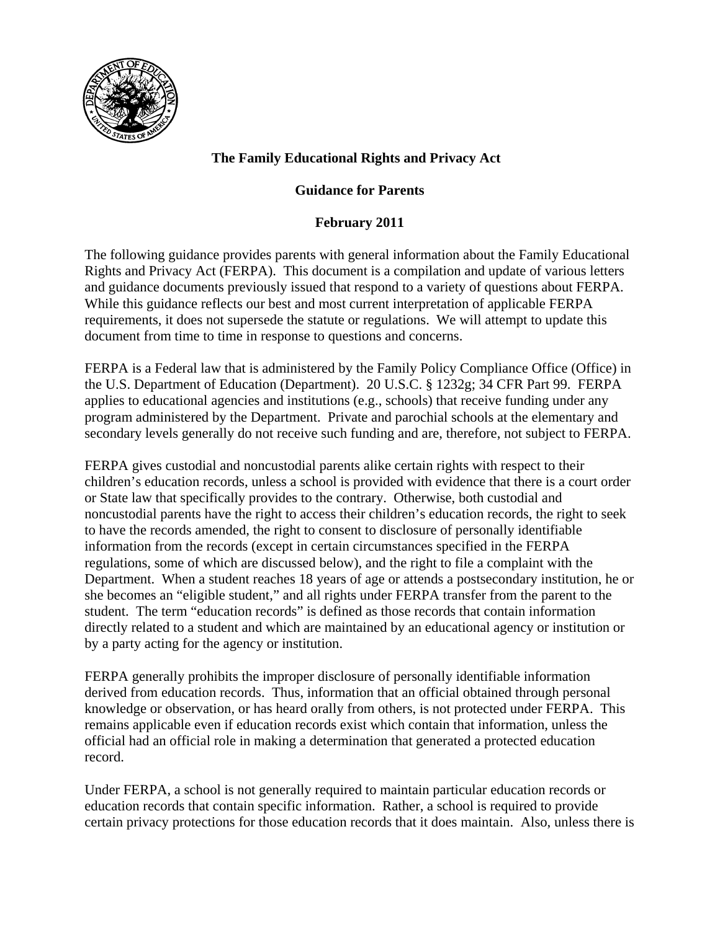

# **The Family Educational Rights and Privacy Act**

## **Guidance for Parents**

### **February 2011**

The following guidance provides parents with general information about the Family Educational Rights and Privacy Act (FERPA). This document is a compilation and update of various letters and guidance documents previously issued that respond to a variety of questions about FERPA. While this guidance reflects our best and most current interpretation of applicable FERPA requirements, it does not supersede the statute or regulations. We will attempt to update this document from time to time in response to questions and concerns.

FERPA is a Federal law that is administered by the Family Policy Compliance Office (Office) in the U.S. Department of Education (Department). 20 U.S.C. § 1232g; 34 CFR Part 99. FERPA applies to educational agencies and institutions (e.g., schools) that receive funding under any program administered by the Department. Private and parochial schools at the elementary and secondary levels generally do not receive such funding and are, therefore, not subject to FERPA.

FERPA gives custodial and noncustodial parents alike certain rights with respect to their children's education records, unless a school is provided with evidence that there is a court order or State law that specifically provides to the contrary. Otherwise, both custodial and noncustodial parents have the right to access their children's education records, the right to seek to have the records amended, the right to consent to disclosure of personally identifiable information from the records (except in certain circumstances specified in the FERPA regulations, some of which are discussed below), and the right to file a complaint with the Department. When a student reaches 18 years of age or attends a postsecondary institution, he or she becomes an "eligible student," and all rights under FERPA transfer from the parent to the student. The term "education records" is defined as those records that contain information directly related to a student and which are maintained by an educational agency or institution or by a party acting for the agency or institution.

FERPA generally prohibits the improper disclosure of personally identifiable information derived from education records. Thus, information that an official obtained through personal knowledge or observation, or has heard orally from others, is not protected under FERPA. This remains applicable even if education records exist which contain that information, unless the official had an official role in making a determination that generated a protected education record.

Under FERPA, a school is not generally required to maintain particular education records or education records that contain specific information. Rather, a school is required to provide certain privacy protections for those education records that it does maintain. Also, unless there is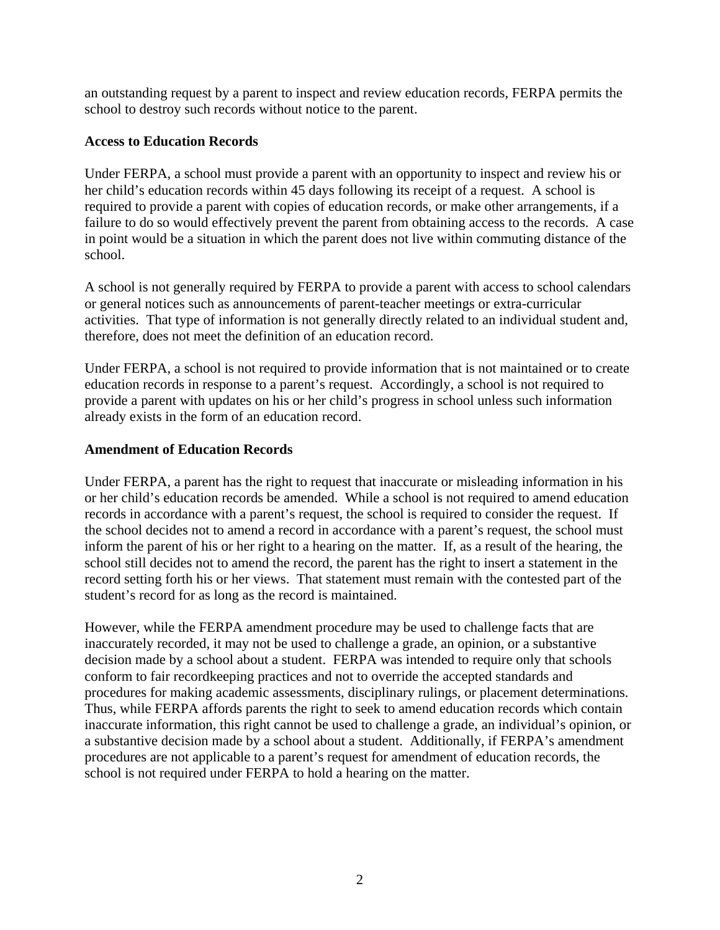an outstanding request by a parent to inspect and review education records, FERPA permits the school to destroy such records without notice to the parent.

### **Access to Education Records**

Under FERPA, a school must provide a parent with an opportunity to inspect and review his or her child's education records within 45 days following its receipt of a request. A school is required to provide a parent with copies of education records, or make other arrangements, if a failure to do so would effectively prevent the parent from obtaining access to the records. A case in point would be a situation in which the parent does not live within commuting distance of the school.

A school is not generally required by FERPA to provide a parent with access to school calendars or general notices such as announcements of parent-teacher meetings or extra-curricular activities. That type of information is not generally directly related to an individual student and, therefore, does not meet the definition of an education record.

Under FERPA, a school is not required to provide information that is not maintained or to create education records in response to a parent's request. Accordingly, a school is not required to provide a parent with updates on his or her child's progress in school unless such information already exists in the form of an education record.

### **Amendment of Education Records**

Under FERPA, a parent has the right to request that inaccurate or misleading information in his or her child's education records be amended. While a school is not required to amend education records in accordance with a parent's request, the school is required to consider the request. If the school decides not to amend a record in accordance with a parent's request, the school must inform the parent of his or her right to a hearing on the matter. If, as a result of the hearing, the school still decides not to amend the record, the parent has the right to insert a statement in the record setting forth his or her views. That statement must remain with the contested part of the student's record for as long as the record is maintained.

However, while the FERPA amendment procedure may be used to challenge facts that are inaccurately recorded, it may not be used to challenge a grade, an opinion, or a substantive decision made by a school about a student. FERPA was intended to require only that schools conform to fair recordkeeping practices and not to override the accepted standards and procedures for making academic assessments, disciplinary rulings, or placement determinations. Thus, while FERPA affords parents the right to seek to amend education records which contain inaccurate information, this right cannot be used to challenge a grade, an individual's opinion, or a substantive decision made by a school about a student. Additionally, if FERPA's amendment procedures are not applicable to a parent's request for amendment of education records, the school is not required under FERPA to hold a hearing on the matter.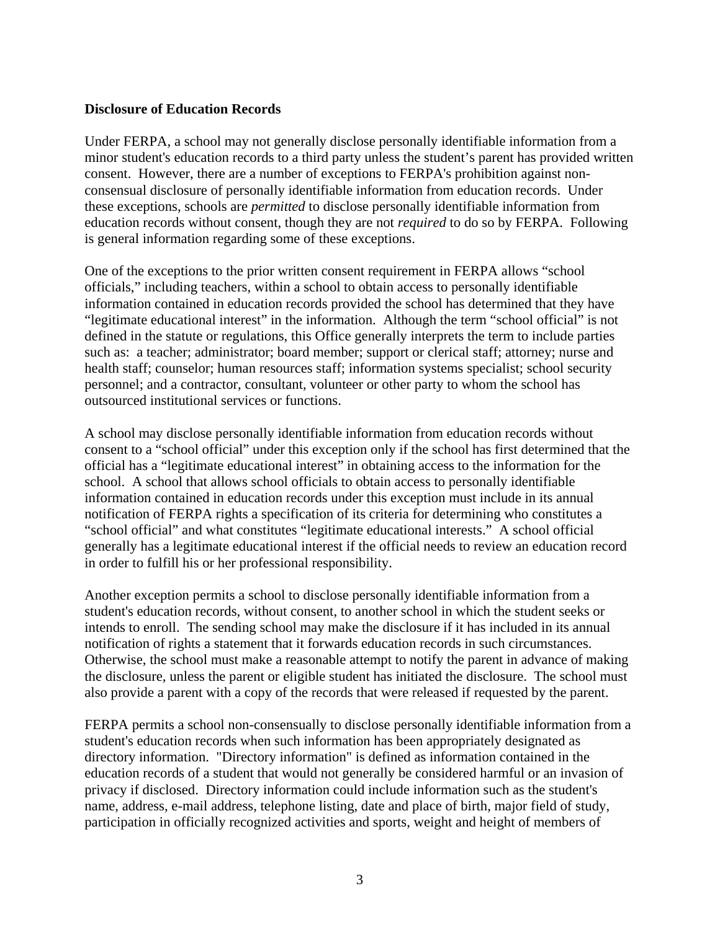#### **Disclosure of Education Records**

Under FERPA, a school may not generally disclose personally identifiable information from a minor student's education records to a third party unless the student's parent has provided written consent. However, there are a number of exceptions to FERPA's prohibition against nonconsensual disclosure of personally identifiable information from education records. Under these exceptions, schools are *permitted* to disclose personally identifiable information from education records without consent, though they are not *required* to do so by FERPA. Following is general information regarding some of these exceptions.

One of the exceptions to the prior written consent requirement in FERPA allows "school officials," including teachers, within a school to obtain access to personally identifiable information contained in education records provided the school has determined that they have "legitimate educational interest" in the information. Although the term "school official" is not defined in the statute or regulations, this Office generally interprets the term to include parties such as: a teacher; administrator; board member; support or clerical staff; attorney; nurse and health staff; counselor; human resources staff; information systems specialist; school security personnel; and a contractor, consultant, volunteer or other party to whom the school has outsourced institutional services or functions.

A school may disclose personally identifiable information from education records without consent to a "school official" under this exception only if the school has first determined that the official has a "legitimate educational interest" in obtaining access to the information for the school. A school that allows school officials to obtain access to personally identifiable information contained in education records under this exception must include in its annual notification of FERPA rights a specification of its criteria for determining who constitutes a "school official" and what constitutes "legitimate educational interests." A school official generally has a legitimate educational interest if the official needs to review an education record in order to fulfill his or her professional responsibility.

Another exception permits a school to disclose personally identifiable information from a student's education records, without consent, to another school in which the student seeks or intends to enroll. The sending school may make the disclosure if it has included in its annual notification of rights a statement that it forwards education records in such circumstances. Otherwise, the school must make a reasonable attempt to notify the parent in advance of making the disclosure, unless the parent or eligible student has initiated the disclosure. The school must also provide a parent with a copy of the records that were released if requested by the parent.

FERPA permits a school non-consensually to disclose personally identifiable information from a student's education records when such information has been appropriately designated as directory information. "Directory information" is defined as information contained in the education records of a student that would not generally be considered harmful or an invasion of privacy if disclosed. Directory information could include information such as the student's name, address, e-mail address, telephone listing, date and place of birth, major field of study, participation in officially recognized activities and sports, weight and height of members of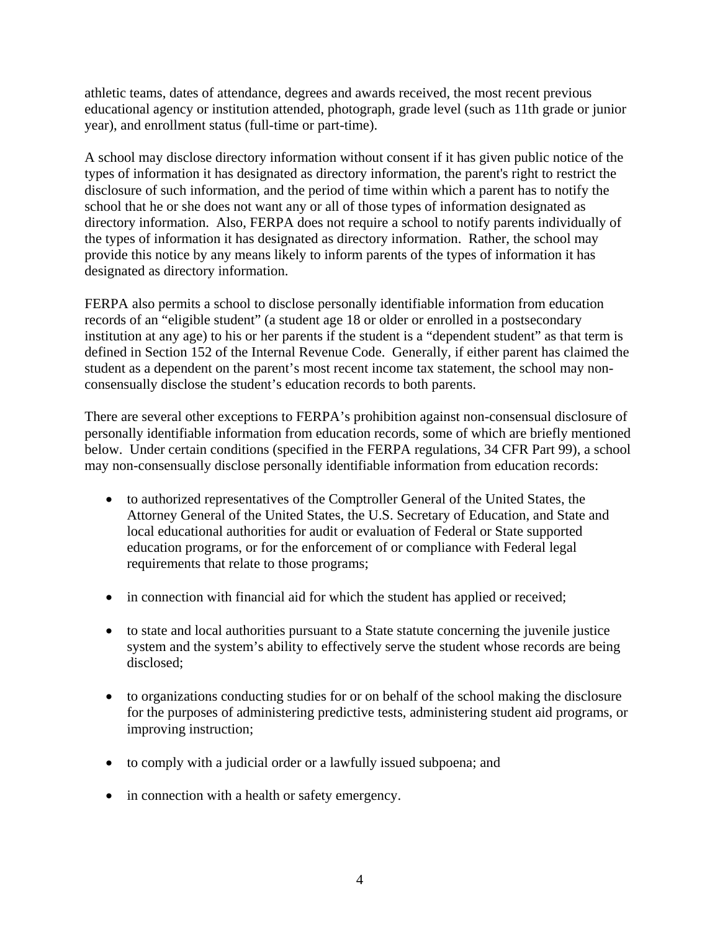athletic teams, dates of attendance, degrees and awards received, the most recent previous educational agency or institution attended, photograph, grade level (such as 11th grade or junior year), and enrollment status (full-time or part-time).

A school may disclose directory information without consent if it has given public notice of the types of information it has designated as directory information, the parent's right to restrict the disclosure of such information, and the period of time within which a parent has to notify the school that he or she does not want any or all of those types of information designated as directory information. Also, FERPA does not require a school to notify parents individually of the types of information it has designated as directory information. Rather, the school may provide this notice by any means likely to inform parents of the types of information it has designated as directory information.

FERPA also permits a school to disclose personally identifiable information from education records of an "eligible student" (a student age 18 or older or enrolled in a postsecondary institution at any age) to his or her parents if the student is a "dependent student" as that term is defined in Section 152 of the Internal Revenue Code. Generally, if either parent has claimed the student as a dependent on the parent's most recent income tax statement, the school may nonconsensually disclose the student's education records to both parents.

There are several other exceptions to FERPA's prohibition against non-consensual disclosure of personally identifiable information from education records, some of which are briefly mentioned below. Under certain conditions (specified in the FERPA regulations, 34 CFR Part 99), a school may non-consensually disclose personally identifiable information from education records:

- to authorized representatives of the Comptroller General of the United States, the Attorney General of the United States, the U.S. Secretary of Education, and State and local educational authorities for audit or evaluation of Federal or State supported education programs, or for the enforcement of or compliance with Federal legal requirements that relate to those programs;
- in connection with financial aid for which the student has applied or received;
- to state and local authorities pursuant to a State statute concerning the juvenile justice system and the system's ability to effectively serve the student whose records are being disclosed;
- to organizations conducting studies for or on behalf of the school making the disclosure for the purposes of administering predictive tests, administering student aid programs, or improving instruction;
- to comply with a judicial order or a lawfully issued subpoena; and
- in connection with a health or safety emergency.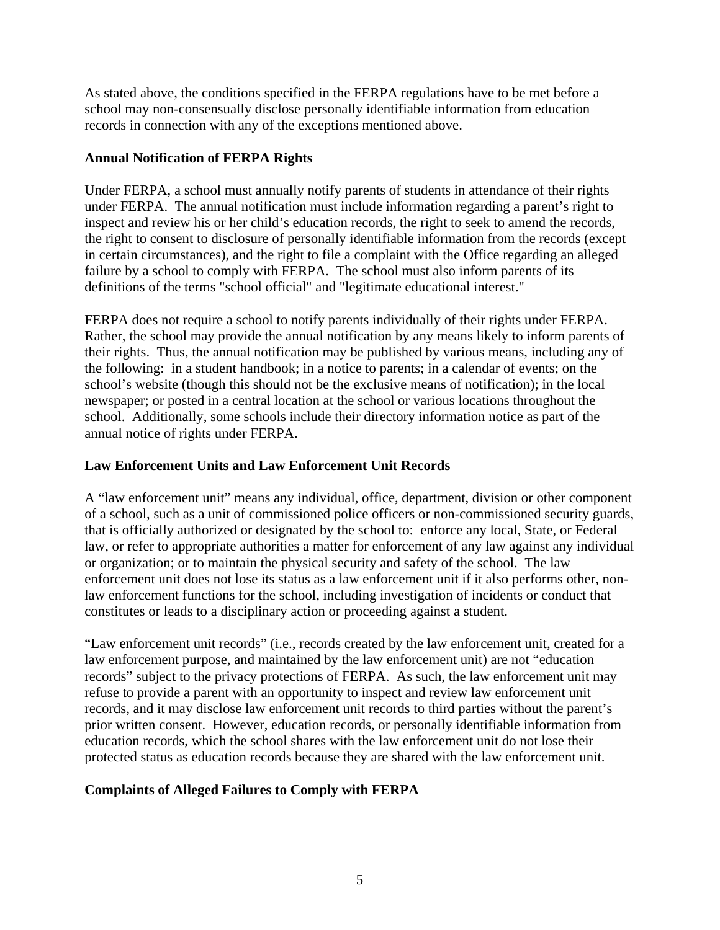As stated above, the conditions specified in the FERPA regulations have to be met before a school may non-consensually disclose personally identifiable information from education records in connection with any of the exceptions mentioned above.

### **Annual Notification of FERPA Rights**

Under FERPA, a school must annually notify parents of students in attendance of their rights under FERPA. The annual notification must include information regarding a parent's right to inspect and review his or her child's education records, the right to seek to amend the records, the right to consent to disclosure of personally identifiable information from the records (except in certain circumstances), and the right to file a complaint with the Office regarding an alleged failure by a school to comply with FERPA. The school must also inform parents of its definitions of the terms "school official" and "legitimate educational interest."

FERPA does not require a school to notify parents individually of their rights under FERPA. Rather, the school may provide the annual notification by any means likely to inform parents of their rights. Thus, the annual notification may be published by various means, including any of the following: in a student handbook; in a notice to parents; in a calendar of events; on the school's website (though this should not be the exclusive means of notification); in the local newspaper; or posted in a central location at the school or various locations throughout the school. Additionally, some schools include their directory information notice as part of the annual notice of rights under FERPA.

### **Law Enforcement Units and Law Enforcement Unit Records**

A "law enforcement unit" means any individual, office, department, division or other component of a school, such as a unit of commissioned police officers or non-commissioned security guards, that is officially authorized or designated by the school to: enforce any local, State, or Federal law, or refer to appropriate authorities a matter for enforcement of any law against any individual or organization; or to maintain the physical security and safety of the school. The law enforcement unit does not lose its status as a law enforcement unit if it also performs other, nonlaw enforcement functions for the school, including investigation of incidents or conduct that constitutes or leads to a disciplinary action or proceeding against a student.

"Law enforcement unit records" (i.e., records created by the law enforcement unit, created for a law enforcement purpose, and maintained by the law enforcement unit) are not "education records" subject to the privacy protections of FERPA. As such, the law enforcement unit may refuse to provide a parent with an opportunity to inspect and review law enforcement unit records, and it may disclose law enforcement unit records to third parties without the parent's prior written consent. However, education records, or personally identifiable information from education records, which the school shares with the law enforcement unit do not lose their protected status as education records because they are shared with the law enforcement unit.

## **Complaints of Alleged Failures to Comply with FERPA**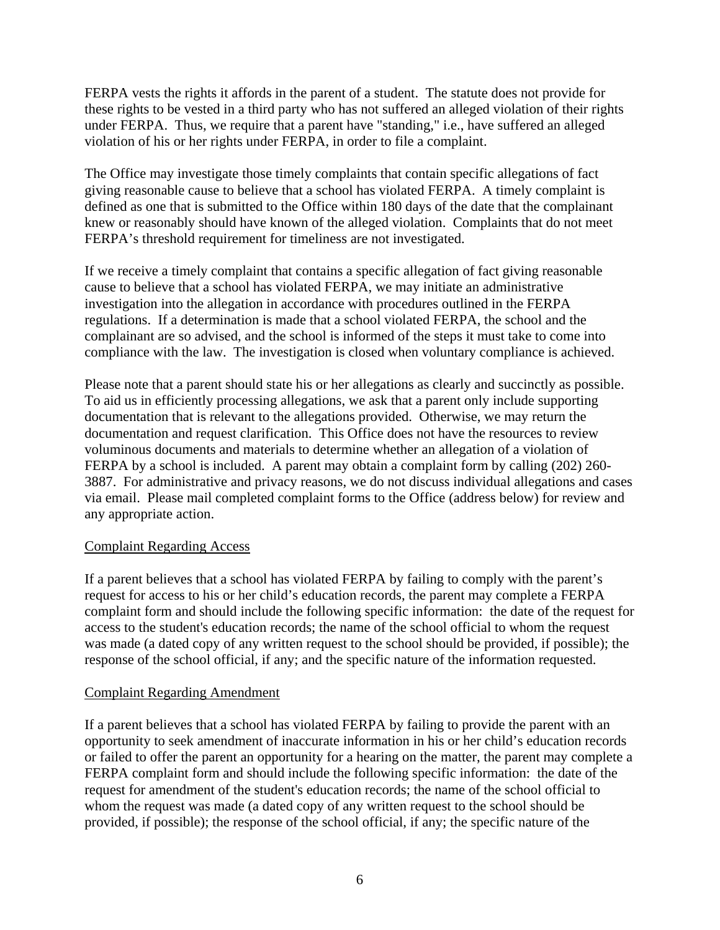FERPA vests the rights it affords in the parent of a student. The statute does not provide for these rights to be vested in a third party who has not suffered an alleged violation of their rights under FERPA. Thus, we require that a parent have "standing," i.e., have suffered an alleged violation of his or her rights under FERPA, in order to file a complaint.

The Office may investigate those timely complaints that contain specific allegations of fact giving reasonable cause to believe that a school has violated FERPA. A timely complaint is defined as one that is submitted to the Office within 180 days of the date that the complainant knew or reasonably should have known of the alleged violation. Complaints that do not meet FERPA's threshold requirement for timeliness are not investigated.

If we receive a timely complaint that contains a specific allegation of fact giving reasonable cause to believe that a school has violated FERPA, we may initiate an administrative investigation into the allegation in accordance with procedures outlined in the FERPA regulations. If a determination is made that a school violated FERPA, the school and the complainant are so advised, and the school is informed of the steps it must take to come into compliance with the law. The investigation is closed when voluntary compliance is achieved.

Please note that a parent should state his or her allegations as clearly and succinctly as possible. To aid us in efficiently processing allegations, we ask that a parent only include supporting documentation that is relevant to the allegations provided. Otherwise, we may return the documentation and request clarification. This Office does not have the resources to review voluminous documents and materials to determine whether an allegation of a violation of FERPA by a school is included. A parent may obtain a complaint form by calling (202) 260- 3887. For administrative and privacy reasons, we do not discuss individual allegations and cases via email. Please mail completed complaint forms to the Office (address below) for review and any appropriate action.

#### Complaint Regarding Access

If a parent believes that a school has violated FERPA by failing to comply with the parent's request for access to his or her child's education records, the parent may complete a FERPA complaint form and should include the following specific information: the date of the request for access to the student's education records; the name of the school official to whom the request was made (a dated copy of any written request to the school should be provided, if possible); the response of the school official, if any; and the specific nature of the information requested.

#### Complaint Regarding Amendment

If a parent believes that a school has violated FERPA by failing to provide the parent with an opportunity to seek amendment of inaccurate information in his or her child's education records or failed to offer the parent an opportunity for a hearing on the matter, the parent may complete a FERPA complaint form and should include the following specific information: the date of the request for amendment of the student's education records; the name of the school official to whom the request was made (a dated copy of any written request to the school should be provided, if possible); the response of the school official, if any; the specific nature of the